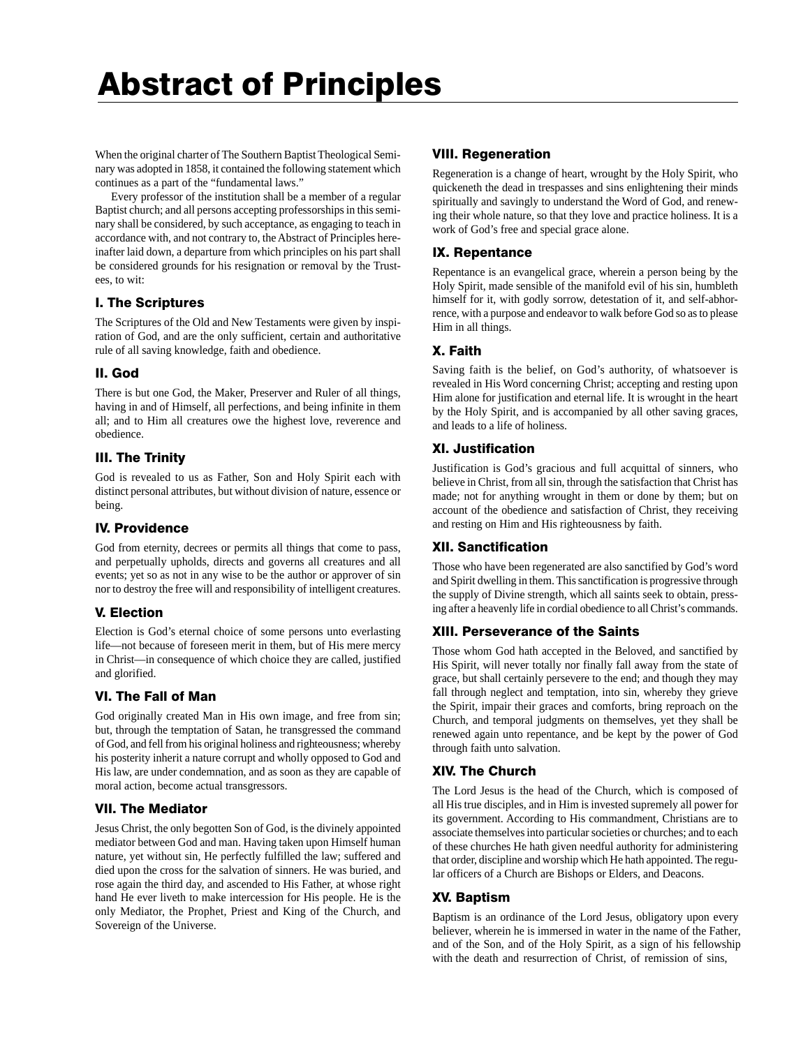# Abstract of Principles

When the original charter of The Southern Baptist Theological Seminary was adopted in 1858, it contained the following statement which continues as a part of the "fundamental laws."

Every professor of the institution shall be a member of a regular Baptist church; and all persons accepting professorships in this seminary shall be considered, by such acceptance, as engaging to teach in accordance with, and not contrary to, the Abstract of Principles hereinafter laid down, a departure from which principles on his part shall be considered grounds for his resignation or removal by the Trustees, to wit:

#### I. The Scriptures

The Scriptures of the Old and New Testaments were given by inspiration of God, and are the only sufficient, certain and authoritative rule of all saving knowledge, faith and obedience.

#### II. God

There is but one God, the Maker, Preserver and Ruler of all things, having in and of Himself, all perfections, and being infinite in them all; and to Him all creatures owe the highest love, reverence and obedience.

## III. The Trinity

God is revealed to us as Father, Son and Holy Spirit each with distinct personal attributes, but without division of nature, essence or being.

# IV. Providence

God from eternity, decrees or permits all things that come to pass, and perpetually upholds, directs and governs all creatures and all events; yet so as not in any wise to be the author or approver of sin nor to destroy the free will and responsibility of intelligent creatures.

#### V. Election

Election is God's eternal choice of some persons unto everlasting life—not because of foreseen merit in them, but of His mere mercy in Christ—in consequence of which choice they are called, justified and glorified.

#### VI. The Fall of Man

God originally created Man in His own image, and free from sin; but, through the temptation of Satan, he transgressed the command of God, and fell from his original holiness and righteousness; whereby his posterity inherit a nature corrupt and wholly opposed to God and His law, are under condemnation, and as soon as they are capable of moral action, become actual transgressors.

#### VII. The Mediator

Jesus Christ, the only begotten Son of God, is the divinely appointed mediator between God and man. Having taken upon Himself human nature, yet without sin, He perfectly fulfilled the law; suffered and died upon the cross for the salvation of sinners. He was buried, and rose again the third day, and ascended to His Father, at whose right hand He ever liveth to make intercession for His people. He is the only Mediator, the Prophet, Priest and King of the Church, and Sovereign of the Universe.

### VIII. Regeneration

Regeneration is a change of heart, wrought by the Holy Spirit, who quickeneth the dead in trespasses and sins enlightening their minds spiritually and savingly to understand the Word of God, and renewing their whole nature, so that they love and practice holiness. It is a work of God's free and special grace alone.

# IX. Repentance

Repentance is an evangelical grace, wherein a person being by the Holy Spirit, made sensible of the manifold evil of his sin, humbleth himself for it, with godly sorrow, detestation of it, and self-abhorrence, with a purpose and endeavor to walk before God so as to please Him in all things.

## X. Faith

Saving faith is the belief, on God's authority, of whatsoever is revealed in His Word concerning Christ; accepting and resting upon Him alone for justification and eternal life. It is wrought in the heart by the Holy Spirit, and is accompanied by all other saving graces, and leads to a life of holiness.

# XI. Justification

Justification is God's gracious and full acquittal of sinners, who believe in Christ, from all sin, through the satisfaction that Christ has made; not for anything wrought in them or done by them; but on account of the obedience and satisfaction of Christ, they receiving and resting on Him and His righteousness by faith.

# XII. Sanctification

Those who have been regenerated are also sanctified by God's word and Spirit dwelling in them. This sanctification is progressive through the supply of Divine strength, which all saints seek to obtain, pressing after a heavenly life in cordial obedience to all Christ's commands.

# XIII. Perseverance of the Saints

Those whom God hath accepted in the Beloved, and sanctified by His Spirit, will never totally nor finally fall away from the state of grace, but shall certainly persevere to the end; and though they may fall through neglect and temptation, into sin, whereby they grieve the Spirit, impair their graces and comforts, bring reproach on the Church, and temporal judgments on themselves, yet they shall be renewed again unto repentance, and be kept by the power of God through faith unto salvation.

# XIV. The Church

The Lord Jesus is the head of the Church, which is composed of all His true disciples, and in Him is invested supremely all power for its government. According to His commandment, Christians are to associate themselves into particular societies or churches; and to each of these churches He hath given needful authority for administering that order, discipline and worship which He hath appointed. The regular officers of a Church are Bishops or Elders, and Deacons.

#### XV. Baptism

Baptism is an ordinance of the Lord Jesus, obligatory upon every believer, wherein he is immersed in water in the name of the Father, and of the Son, and of the Holy Spirit, as a sign of his fellowship with the death and resurrection of Christ, of remission of sins,